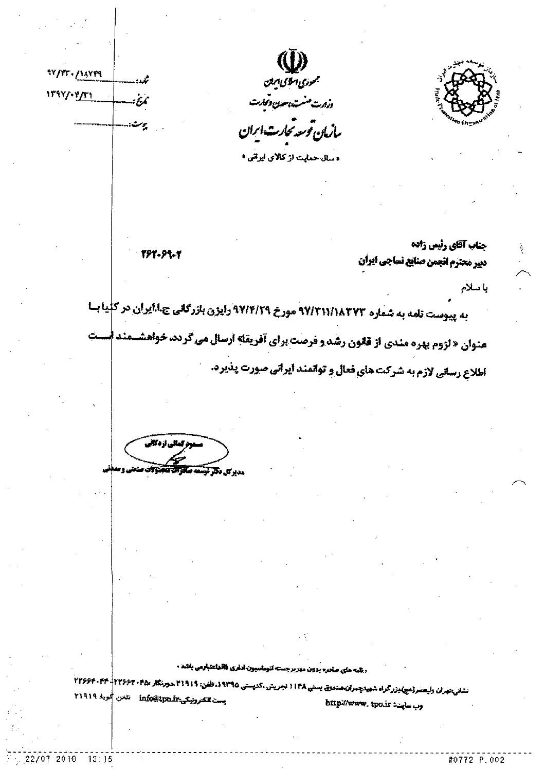

جمودي اسلاك الملن وزرت مشت بسون ومحارث

سازان توسعه تحارث انران

ه سال حدایت از کالای ایرانی ا

797-99-7

تمدد

 $\dot{\mathcal{E}}$ 

بيرست

97/FT. /14YF9

 $17377.871$ 

جناب آقاي رئيس زاده ديير محترم انجمن صنايع نساجي ايران

باسلام

به پیوست تامه به شماره ۹۷/۳۱۱/۱۸۳۷۳ مورخ ۹۷/۴/۲۹ رایزن بازرگانی چ.ا.ایران در کلیا ب **عنوان « لزوم بهره مندي از قانون رشد و فرصت براي آفريقله آرسال مي گردد، خواهشسمند اسست** اطلاع رسانی لازم به شرکت های فعال و توانمند ایرانی صورت پذیرد.

مدير <del>کل دکتر آيا</del>

. شمه های صاحبه بدون مهربرجسته اتوماسیون اداری فاقداعتبارمی باشد .

تشان<sub>به</sub>تهران وليعصر(مج)يزرگراه شهيدچنران مندوق يست<sub>ند</sub> 1174 نجريتن ،كدپستي 14710، طفن: 11911 هورنگار HY۶97 - 1799F - 1799F - 1 پسٽ كترويكي: info@tpa.ir نامن ڳُويه ٢١٩١٩ وب سابت: bttp://www.tpo.ir